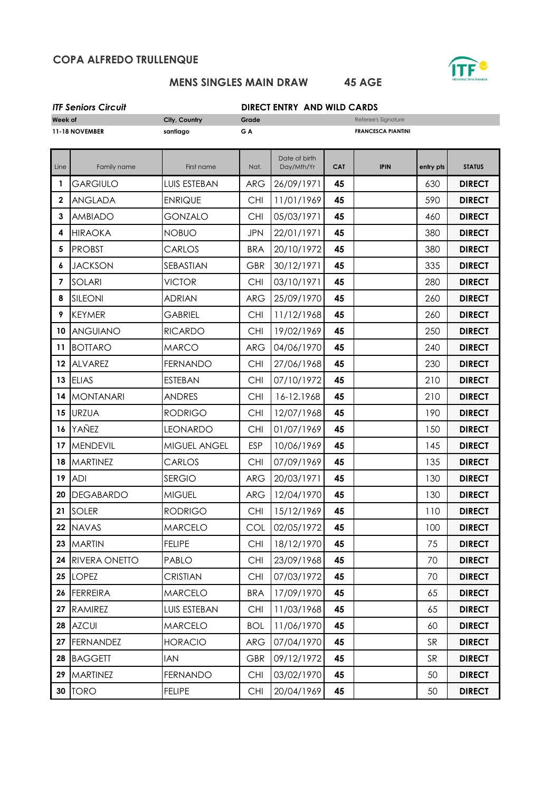## **COPA ALFREDO TRULLENQUE**



### **MENS SINGLES MAIN DRAW 45 AGE**

| <b>ITF Seniors Circuit</b> |  |
|----------------------------|--|
|                            |  |

# *ITF Seniors Circuit* **DIRECT ENTRY AND WILD CARDS**

| Week of        |                      | City, Country<br>Grade |            |                             |            | Referee's Signature       |           |               |
|----------------|----------------------|------------------------|------------|-----------------------------|------------|---------------------------|-----------|---------------|
| 11-18 NOVEMBER |                      | santiago               | GA         |                             |            | <b>FRANCESCA PIANTINI</b> |           |               |
| Line           | Family name          | First name             | Nat.       | Date of birth<br>Day/Mth/Yr | <b>CAT</b> | <b>IPIN</b>               | entry pts | <b>STATUS</b> |
| 1              | <b>GARGIULO</b>      | <b>LUIS ESTEBAN</b>    | <b>ARG</b> | 26/09/1971                  | 45         |                           | 630       | <b>DIRECT</b> |
| $\mathbf 2$    | <b>ANGLADA</b>       | <b>ENRIQUE</b>         | <b>CHI</b> | 11/01/1969                  | 45         |                           | 590       | <b>DIRECT</b> |
| 3              | <b>AMBIADO</b>       | <b>GONZALO</b>         | <b>CHI</b> | 05/03/1971                  | 45         |                           | 460       | <b>DIRECT</b> |
| 4              | <b>HIRAOKA</b>       | <b>NOBUO</b>           | <b>JPN</b> | 22/01/1971                  | 45         |                           | 380       | <b>DIRECT</b> |
| 5              | <b>PROBST</b>        | CARLOS                 | <b>BRA</b> | 20/10/1972                  | 45         |                           | 380       | <b>DIRECT</b> |
| 6              | <b>JACKSON</b>       | SEBASTIAN              | <b>GBR</b> | 30/12/1971                  | 45         |                           | 335       | <b>DIRECT</b> |
| $\overline{7}$ | <b>SOLARI</b>        | <b>VICTOR</b>          | <b>CHI</b> | 03/10/1971                  | 45         |                           | 280       | <b>DIRECT</b> |
| 8              | SILEONI              | <b>ADRIAN</b>          | <b>ARG</b> | 25/09/1970                  | 45         |                           | 260       | <b>DIRECT</b> |
| 9              | <b>KEYMER</b>        | <b>GABRIEL</b>         | <b>CHI</b> | 11/12/1968                  | 45         |                           | 260       | <b>DIRECT</b> |
| 10             | <b>ANGUIANO</b>      | <b>RICARDO</b>         | <b>CHI</b> | 19/02/1969                  | 45         |                           | 250       | <b>DIRECT</b> |
| 11             | <b>BOTTARO</b>       | <b>MARCO</b>           | <b>ARG</b> | 04/06/1970                  | 45         |                           | 240       | <b>DIRECT</b> |
| 12             | <b>ALVAREZ</b>       | <b>FERNANDO</b>        | <b>CHI</b> | 27/06/1968                  | 45         |                           | 230       | <b>DIRECT</b> |
| 13             | <b>ELIAS</b>         | <b>ESTEBAN</b>         | <b>CHI</b> | 07/10/1972                  | 45         |                           | 210       | <b>DIRECT</b> |
| 14             | <b>MONTANARI</b>     | <b>ANDRES</b>          | <b>CHI</b> | 16-12.1968                  | 45         |                           | 210       | <b>DIRECT</b> |
| 15             | <b>URZUA</b>         | <b>RODRIGO</b>         | <b>CHI</b> | 12/07/1968                  | 45         |                           | 190       | <b>DIRECT</b> |
| 16             | YAÑEZ                | <b>LEONARDO</b>        | <b>CHI</b> | 01/07/1969                  | 45         |                           | 150       | <b>DIRECT</b> |
| 17             | <b>MENDEVIL</b>      | MIGUEL ANGEL           | <b>ESP</b> | 10/06/1969                  | 45         |                           | 145       | <b>DIRECT</b> |
| 18             | <b>MARTINEZ</b>      | CARLOS                 | <b>CHI</b> | 07/09/1969                  | 45         |                           | 135       | <b>DIRECT</b> |
| 19             | <b>ADI</b>           | <b>SERGIO</b>          | <b>ARG</b> | 20/03/1971                  | 45         |                           | 130       | <b>DIRECT</b> |
| 20             | <b>DEGABARDO</b>     | <b>MIGUEL</b>          | <b>ARG</b> | 12/04/1970                  | 45         |                           | 130       | <b>DIRECT</b> |
| 21             | <b>SOLER</b>         | <b>RODRIGO</b>         | <b>CHI</b> | 15/12/1969                  | 45         |                           | 110       | <b>DIRECT</b> |
|                | 22 NAVAS             | <b>MARCELO</b>         | COL        | 02/05/1972                  | 45         |                           | 100       | <b>DIRECT</b> |
|                | 23 MARTIN            | <b>FELIPE</b>          | <b>CHI</b> | 18/12/1970                  | 45         |                           | 75        | <b>DIRECT</b> |
| 24             | <b>RIVERA ONETTO</b> | <b>PABLO</b>           | <b>CHI</b> | 23/09/1968                  | 45         |                           | 70        | <b>DIRECT</b> |
| 25             | <b>LOPEZ</b>         | <b>CRISTIAN</b>        | <b>CHI</b> | 07/03/1972                  | 45         |                           | 70        | <b>DIRECT</b> |
| 26             | <b>FERREIRA</b>      | <b>MARCELO</b>         | <b>BRA</b> | 17/09/1970                  | 45         |                           | 65        | <b>DIRECT</b> |
| 27             | <b>RAMIREZ</b>       | LUIS ESTEBAN           | <b>CHI</b> | 11/03/1968                  | 45         |                           | 65        | <b>DIRECT</b> |
| 28             | <b>AZCUI</b>         | <b>MARCELO</b>         | <b>BOL</b> | 11/06/1970                  | 45         |                           | 60        | <b>DIRECT</b> |
| 27             | <b>FERNANDEZ</b>     | <b>HORACIO</b>         | <b>ARG</b> | 07/04/1970                  | 45         |                           | <b>SR</b> | <b>DIRECT</b> |
| 28             | <b>BAGGETT</b>       | <b>IAN</b>             | <b>GBR</b> | 09/12/1972                  | 45         |                           | SR        | <b>DIRECT</b> |
| 29             | <b>MARTINEZ</b>      | <b>FERNANDO</b>        | <b>CHI</b> | 03/02/1970                  | 45         |                           | 50        | <b>DIRECT</b> |
|                | <b>30 TORO</b>       | <b>FELIPE</b>          | <b>CHI</b> | 20/04/1969                  | 45         |                           | 50        | <b>DIRECT</b> |